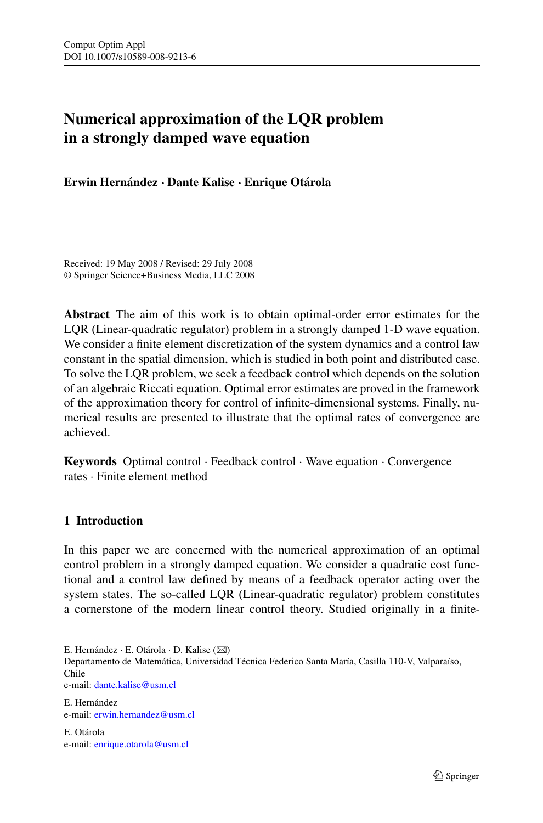# **Numerical approximation of the LQR problem in a strongly damped wave equation**

**Erwin Hernández · Dante Kalise · Enrique Otárola**

Received: 19 May 2008 / Revised: 29 July 2008 © Springer Science+Business Media, LLC 2008

**Abstract** The aim of this work is to obtain optimal-order error estimates for the LQR (Linear-quadratic regulator) problem in a strongly damped 1-D wave equation. We consider a finite element discretization of the system dynamics and a control law constant in the spatial dimension, which is studied in both point and distributed case. To solve the LQR problem, we seek a feedback control which depends on the solution of an algebraic Riccati equation. Optimal error estimates are proved in the framework of the approximation theory for control of infinite-dimensional systems. Finally, numerical results are presented to illustrate that the optimal rates of convergence are achieved.

**Keywords** Optimal control · Feedback control · Wave equation · Convergence rates · Finite element method

# **1 Introduction**

In this paper we are concerned with the numerical approximation of an optimal control problem in a strongly damped equation. We consider a quadratic cost functional and a control law defined by means of a feedback operator acting over the system states. The so-called LQR (Linear-quadratic regulator) problem constitutes a cornerstone of the modern linear control theory. Studied originally in a finite-

E. Hernández · E. Otárola · D. Kalise (⊠)

Departamento de Matemática, Universidad Técnica Federico Santa María, Casilla 110-V, Valparaíso, Chile

e-mail: [dante.kalise@usm.cl](mailto:dante.kalise@usm.cl)

E. Hernández e-mail: [erwin.hernandez@usm.cl](mailto:erwin.hernandez@usm.cl)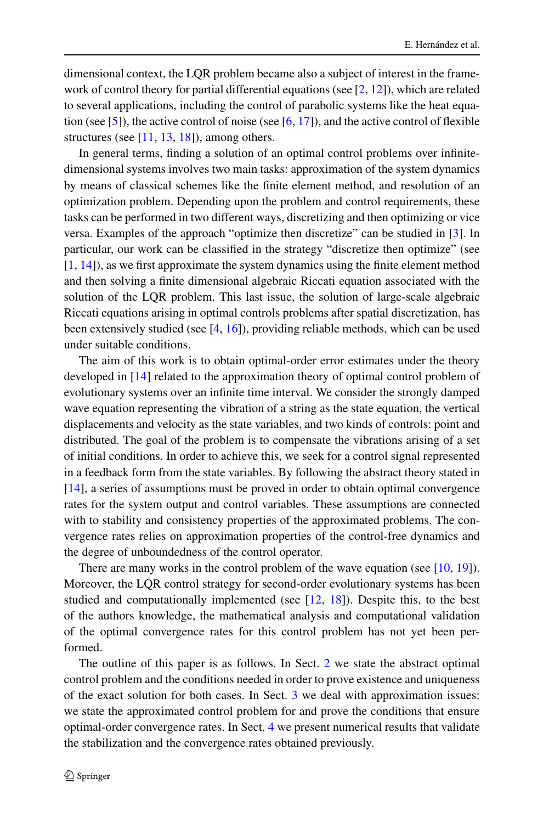dimensional context, the LQR problem became also a subject of interest in the framework of control theory for partial differential equations (see  $[2, 12]$  $[2, 12]$  $[2, 12]$ ), which are related to several applications, including the control of parabolic systems like the heat equa-tion (see [[5\]](#page-16-0)), the active control of noise (see [[6,](#page-16-0) [17](#page-17-0)]), and the active control of flexible structures (see  $[11, 13, 18]$  $[11, 13, 18]$  $[11, 13, 18]$  $[11, 13, 18]$  $[11, 13, 18]$  $[11, 13, 18]$ ), among others.

In general terms, finding a solution of an optimal control problems over infinitedimensional systems involves two main tasks: approximation of the system dynamics by means of classical schemes like the finite element method, and resolution of an optimization problem. Depending upon the problem and control requirements, these tasks can be performed in two different ways, discretizing and then optimizing or vice versa. Examples of the approach "optimize then discretize" can be studied in [[3\]](#page-16-0). In particular, our work can be classified in the strategy "discretize then optimize" (see [\[1](#page-16-0), [14\]](#page-17-0)), as we first approximate the system dynamics using the finite element method and then solving a finite dimensional algebraic Riccati equation associated with the solution of the LQR problem. This last issue, the solution of large-scale algebraic Riccati equations arising in optimal controls problems after spatial discretization, has been extensively studied (see [[4,](#page-16-0) [16\]](#page-17-0)), providing reliable methods, which can be used under suitable conditions.

The aim of this work is to obtain optimal-order error estimates under the theory developed in [[14\]](#page-17-0) related to the approximation theory of optimal control problem of evolutionary systems over an infinite time interval. We consider the strongly damped wave equation representing the vibration of a string as the state equation, the vertical displacements and velocity as the state variables, and two kinds of controls: point and distributed. The goal of the problem is to compensate the vibrations arising of a set of initial conditions. In order to achieve this, we seek for a control signal represented in a feedback form from the state variables. By following the abstract theory stated in [\[14](#page-17-0)], a series of assumptions must be proved in order to obtain optimal convergence rates for the system output and control variables. These assumptions are connected with to stability and consistency properties of the approximated problems. The convergence rates relies on approximation properties of the control-free dynamics and the degree of unboundedness of the control operator.

There are many works in the control problem of the wave equation (see [[10](#page-17-0), [19](#page-17-0)]). Moreover, the LQR control strategy for second-order evolutionary systems has been studied and computationally implemented (see [\[12](#page-17-0), [18\]](#page-17-0)). Despite this, to the best of the authors knowledge, the mathematical analysis and computational validation of the optimal convergence rates for this control problem has not yet been performed.

The outline of this paper is as follows. In Sect. [2](#page-2-0) we state the abstract optimal control problem and the conditions needed in order to prove existence and uniqueness of the exact solution for both cases. In Sect. [3](#page-4-0) we deal with approximation issues: we state the approximated control problem for and prove the conditions that ensure optimal-order convergence rates. In Sect. [4](#page-9-0) we present numerical results that validate the stabilization and the convergence rates obtained previously.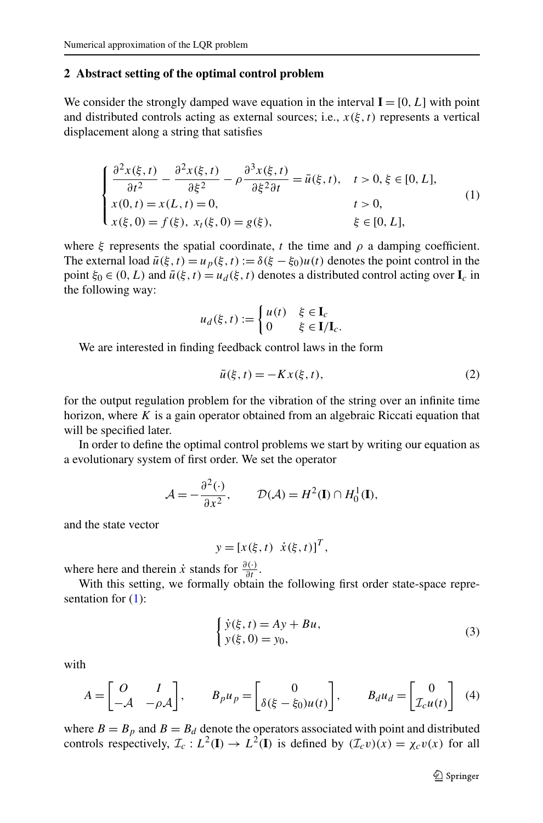#### <span id="page-2-0"></span>**2 Abstract setting of the optimal control problem**

We consider the strongly damped wave equation in the interval  $I = [0, L]$  with point and distributed controls acting as external sources; i.e.,  $x(\xi, t)$  represents a vertical displacement along a string that satisfies

$$
\begin{cases}\n\frac{\partial^2 x(\xi, t)}{\partial t^2} - \frac{\partial^2 x(\xi, t)}{\partial \xi^2} - \rho \frac{\partial^3 x(\xi, t)}{\partial \xi^2 \partial t} = \bar{u}(\xi, t), \quad t > 0, \xi \in [0, L], \\
x(0, t) = x(L, t) = 0, & t > 0, \\
x(\xi, 0) = f(\xi), \ x_t(\xi, 0) = g(\xi), & \xi \in [0, L],\n\end{cases}
$$
\n(1)

where  $\xi$  represents the spatial coordinate,  $t$  the time and  $\rho$  a damping coefficient. The external load  $\bar{u}(\xi, t) = u_p(\xi, t) := \delta(\xi - \xi_0)u(t)$  denotes the point control in the point  $\xi_0 \in (0, L)$  and  $\overline{u}(\xi, t) = u_d(\xi, t)$  denotes a distributed control acting over  $\mathbf{I}_c$  in the following way:

$$
u_d(\xi, t) := \begin{cases} u(t) & \xi \in \mathbf{I}_c \\ 0 & \xi \in \mathbf{I}/\mathbf{I}_c. \end{cases}
$$

We are interested in finding feedback control laws in the form

$$
\bar{u}(\xi, t) = -Kx(\xi, t),\tag{2}
$$

for the output regulation problem for the vibration of the string over an infinite time horizon, where *K* is a gain operator obtained from an algebraic Riccati equation that will be specified later.

In order to define the optimal control problems we start by writing our equation as a evolutionary system of first order. We set the operator

$$
\mathcal{A} = -\frac{\partial^2(\cdot)}{\partial x^2}, \qquad \mathcal{D}(\mathcal{A}) = H^2(\mathbf{I}) \cap H_0^1(\mathbf{I}),
$$

and the state vector

 $y = [x(\xi, t) \dot{x}(\xi, t)]^T$ ,

where here and therein *x*<sup>i</sup> stands for  $\frac{\partial(\cdot)}{\partial t}$ .

With this setting, we formally obtain the following first order state-space representation for  $(1)$ :

$$
\begin{cases} \dot{y}(\xi, t) = Ay + Bu, \\ y(\xi, 0) = y_0, \end{cases}
$$
\n(3)

with

$$
A = \begin{bmatrix} O & I \\ -A & -\rho A \end{bmatrix}, \qquad B_p u_p = \begin{bmatrix} 0 \\ \delta(\xi - \xi_0) u(t) \end{bmatrix}, \qquad B_d u_d = \begin{bmatrix} 0 \\ \mathcal{I}_c u(t) \end{bmatrix}
$$
 (4)

where  $B = B_p$  and  $B = B_d$  denote the operators associated with point and distributed controls respectively,  $\mathcal{I}_c : L^2(\mathbf{I}) \to L^2(\mathbf{I})$  is defined by  $(\mathcal{I}_c v)(x) = \chi_c v(x)$  for all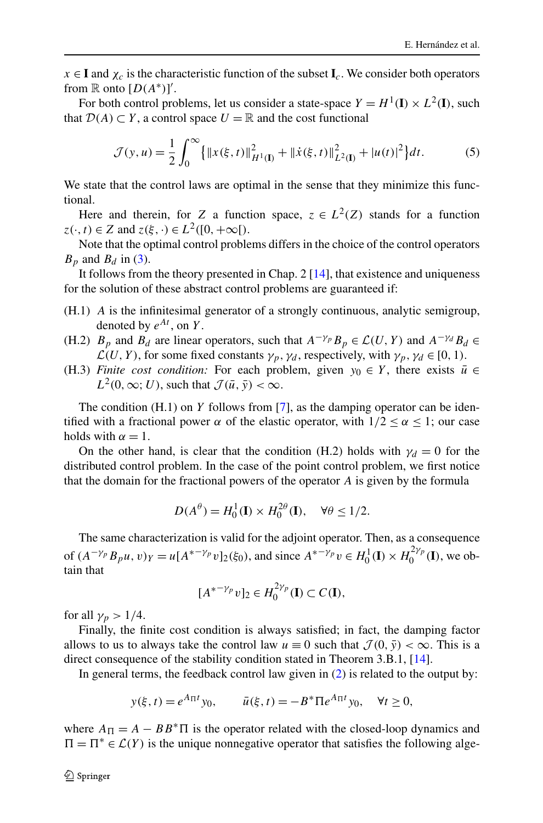<span id="page-3-0"></span> $x \in I$  and  $\chi_c$  is the characteristic function of the subset  $I_c$ . We consider both operators from  $\mathbb R$  onto  $[D(A^*)]'$ .

For both control problems, let us consider a state-space  $Y = H^1(\mathbf{I}) \times L^2(\mathbf{I})$ , such that  $\mathcal{D}(A) \subset Y$ , a control space  $U = \mathbb{R}$  and the cost functional

$$
\mathcal{J}(y, u) = \frac{1}{2} \int_0^{\infty} {\{ \|x(\xi, t)\|_{H^1(\mathbf{I})}^2 + \|\dot{x}(\xi, t)\|_{L^2(\mathbf{I})}^2 + |u(t)|^2 \} dt. \tag{5}
$$

We state that the control laws are optimal in the sense that they minimize this functional.

Here and therein, for *Z* a function space,  $z \in L^2(Z)$  stands for a function  $z(\cdot, t) \in Z$  and  $z(\xi, \cdot) \in L^2([0, +\infty])$ .

Note that the optimal control problems differs in the choice of the control operators  $B_p$  and  $B_d$  in [\(3](#page-2-0)).

It follows from the theory presented in Chap. 2 [[14\]](#page-17-0), that existence and uniqueness for the solution of these abstract control problems are guaranteed if:

- (H.1) *A* is the infinitesimal generator of a strongly continuous, analytic semigroup, denoted by  $e^{At}$ , on *Y*.
- (H.2)  $B_p$  and  $B_d$  are linear operators, such that  $A^{-\gamma_p}B_p \in \mathcal{L}(U, Y)$  and  $A^{-\gamma_d}B_d \in$  $\mathcal{L}(U, Y)$ , for some fixed constants  $\gamma_p, \gamma_d$ , respectively, with  $\gamma_p, \gamma_d \in [0, 1)$ .
- (H.3) *Finite cost condition:* For each problem, given  $y_0 \in Y$ , there exists  $\bar{u} \in$  $L^2(0, \infty; U)$ , such that  $\mathcal{J}(\bar{u}, \bar{y}) < \infty$ .

The condition (H.1) on *Y* follows from [[7\]](#page-16-0), as the damping operator can be identified with a fractional power  $\alpha$  of the elastic operator, with  $1/2 \le \alpha \le 1$ ; our case holds with  $\alpha = 1$ .

On the other hand, is clear that the condition (H.2) holds with  $\gamma_d = 0$  for the distributed control problem. In the case of the point control problem, we first notice that the domain for the fractional powers of the operator *A* is given by the formula

$$
D(A^{\theta}) = H_0^1(\mathbf{I}) \times H_0^{2\theta}(\mathbf{I}), \quad \forall \theta \le 1/2.
$$

The same characterization is valid for the adjoint operator. Then, as a consequence of  $(A^{-\gamma_p}B_pu, v)_Y = u[A^{*-\gamma_p}v]_2(\xi_0)$ , and since  $A^{*-\gamma_p}v \in H_0^1(I) \times H_0^{2\gamma_p}(I)$ , we obtain that

$$
[A^{*-\gamma_p}v]_2 \in H_0^{2\gamma_p}(\mathbf{I}) \subset C(\mathbf{I}),
$$

for all  $\gamma_p > 1/4$ .

Finally, the finite cost condition is always satisfied; in fact, the damping factor allows to us to always take the control law  $u \equiv 0$  such that  $\mathcal{J}(0, \bar{y}) < \infty$ . This is a direct consequence of the stability condition stated in Theorem 3.B.1, [[14\]](#page-17-0).

In general terms, the feedback control law given in  $(2)$  $(2)$  is related to the output by:

$$
y(\xi, t) = e^{A_{\Pi}t}y_0
$$
,  $\bar{u}(\xi, t) = -B^* \Pi e^{A_{\Pi}t}y_0$ ,  $\forall t \ge 0$ ,

where  $A_{\Pi} = A - BB^* \Pi$  is the operator related with the closed-loop dynamics and  $\Pi = \Pi^* \in \mathcal{L}(Y)$  is the unique nonnegative operator that satisfies the following alge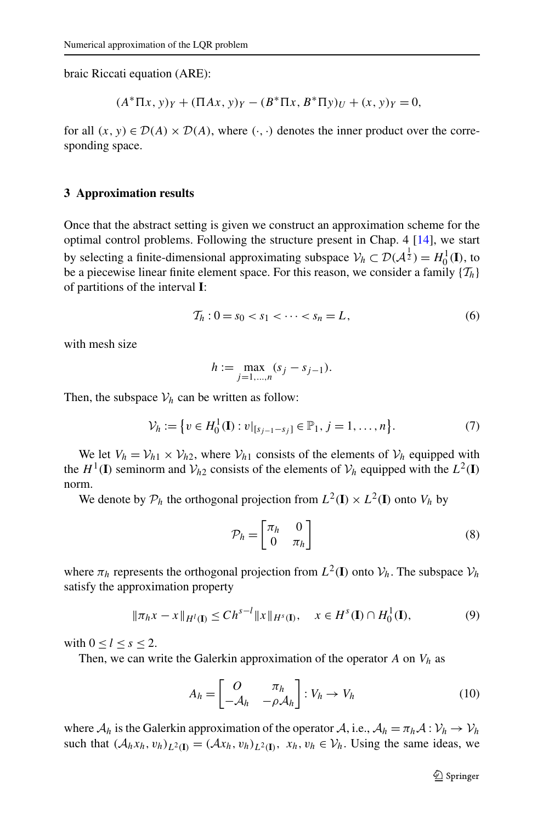<span id="page-4-0"></span>braic Riccati equation (ARE):

$$
(A^* \Pi x, y)_Y + (\Pi Ax, y)_Y - (B^* \Pi x, B^* \Pi y)_U + (x, y)_Y = 0,
$$

for all  $(x, y) \in \mathcal{D}(A) \times \mathcal{D}(A)$ , where  $(\cdot, \cdot)$  denotes the inner product over the corresponding space.

## **3 Approximation results**

Once that the abstract setting is given we construct an approximation scheme for the optimal control problems. Following the structure present in Chap. 4 [[14\]](#page-17-0), we start by selecting a finite-dimensional approximating subspace  $V_h \subset \mathcal{D}(\mathcal{A}^{\frac{1}{2}}) = H_0^1(\mathbf{I}),$  to be a piecewise linear finite element space. For this reason, we consider a family  $\{T_h\}$ of partitions of the interval **I**:

$$
\mathcal{T}_h: 0 = s_0 < s_1 < \dots < s_n = L,\tag{6}
$$

with mesh size

$$
h := \max_{j=1,\dots,n} (s_j - s_{j-1}).
$$

Then, the subspace  $V_h$  can be written as follow:

$$
\mathcal{V}_h := \{ v \in H_0^1(\mathbf{I}) : v|_{[s_{j-1}-s_j]} \in \mathbb{P}_1, j = 1, \dots, n \}.
$$
 (7)

We let  $V_h = V_{h1} \times V_{h2}$ , where  $V_{h1}$  consists of the elements of  $V_h$  equipped with the  $H^1(\mathbf{I})$  seminorm and  $V_h$ <sub>2</sub> consists of the elements of  $V_h$  equipped with the  $L^2(\mathbf{I})$ norm.

We denote by  $P_h$  the orthogonal projection from  $L^2(\mathbf{I}) \times L^2(\mathbf{I})$  onto  $V_h$  by

$$
\mathcal{P}_h = \begin{bmatrix} \pi_h & 0\\ 0 & \pi_h \end{bmatrix} \tag{8}
$$

where  $\pi_h$  represents the orthogonal projection from  $L^2(\mathbf{I})$  onto  $\mathcal{V}_h$ . The subspace  $\mathcal{V}_h$ satisfy the approximation property

$$
\|\pi_h x - x\|_{H^l(\mathbf{I})} \le C h^{s-l} \|x\|_{H^s(\mathbf{I})}, \quad x \in H^s(\mathbf{I}) \cap H_0^1(\mathbf{I}),
$$
 (9)

with  $0 < l < s < 2$ .

Then, we can write the Galerkin approximation of the operator  $A$  on  $V_h$  as

$$
A_h = \begin{bmatrix} O & \pi_h \\ -\mathcal{A}_h & -\rho \mathcal{A}_h \end{bmatrix} : V_h \to V_h \tag{10}
$$

where  $A_h$  is the Galerkin approximation of the operator  $A$ , i.e.,  $A_h = \pi_h A : V_h \to V_h$ such that  $(A_hx_h, v_h)_{L^2(\mathbf{I})} = (Ax_h, v_h)_{L^2(\mathbf{I})}, x_h, v_h \in V_h$ . Using the same ideas, we

 $\mathcal{D}$  Springer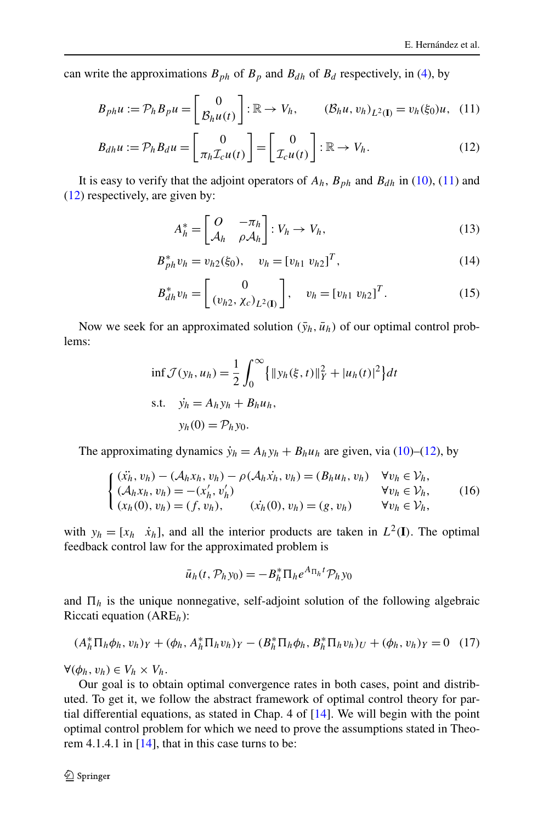<span id="page-5-0"></span>can write the approximations  $B_{ph}$  of  $B_p$  and  $B_{dh}$  of  $B_d$  respectively, in [\(4](#page-2-0)), by

$$
B_{ph}u := \mathcal{P}_h B_p u = \begin{bmatrix} 0 \\ \mathcal{B}_h u(t) \end{bmatrix} : \mathbb{R} \to V_h, \qquad (\mathcal{B}_h u, v_h)_{L^2(\mathbf{I})} = v_h(\xi_0)u, \tag{11}
$$

$$
B_{dh}u := \mathcal{P}_h B_d u = \begin{bmatrix} 0 \\ \pi_h \mathcal{I}_c u(t) \end{bmatrix} = \begin{bmatrix} 0 \\ \mathcal{I}_c u(t) \end{bmatrix} : \mathbb{R} \to V_h.
$$
 (12)

It is easy to verify that the adjoint operators of  $A_h$ ,  $B_{ph}$  and  $B_{dh}$  in ([10\)](#page-4-0), (11) and (12) respectively, are given by:

$$
A_h^* = \begin{bmatrix} O & -\pi_h \\ \mathcal{A}_h & \rho \mathcal{A}_h \end{bmatrix} : V_h \to V_h,
$$
 (13)

$$
B_{ph}^{*}v_h = v_{h2}(\xi_0), \quad v_h = [v_{h1} \; v_{h2}]^T, \tag{14}
$$

$$
B_{dh}^* v_h = \begin{bmatrix} 0 \\ (v_{h2}, \chi_c)_{L^2(\mathbf{I})} \end{bmatrix}, \quad v_h = [v_{h1} \ v_{h2}]^T. \tag{15}
$$

Now we seek for an approximated solution  $(\bar{y}_h, \bar{u}_h)$  of our optimal control problems:

$$
\inf \mathcal{J}(y_h, u_h) = \frac{1}{2} \int_0^\infty {\{ \|y_h(\xi, t)\|_Y^2 + |u_h(t)|^2 \} dt}
$$
  
s.t.  $y_h = A_h y_h + B_h u_h$ ,  
 $y_h(0) = \mathcal{P}_h y_0$ .

The approximating dynamics  $\dot{y}_h = A_h y_h + B_h u_h$  are given, via ([10\)](#page-4-0)–(12), by

$$
\begin{cases}\n(\ddot{x_h}, v_h) - (\mathcal{A}_h x_h, v_h) - \rho(\mathcal{A}_h \dot{x_h}, v_h) = (B_h u_h, v_h) & \forall v_h \in \mathcal{V}_h, \\
(\mathcal{A}_h x_h, v_h) = -(x'_h, v'_h) & \forall v_h \in \mathcal{V}_h, \\
(x_h(0), v_h) = (f, v_h), & (\dot{x}_h(0), v_h) = (g, v_h) & \forall v_h \in \mathcal{V}_h,\n\end{cases}
$$
\n(16)

with  $y_h = [x_h \quad \dot{x}_h]$ , and all the interior products are taken in  $L^2(\mathbf{I})$ . The optimal feedback control law for the approximated problem is

$$
\bar{u}_h(t, \mathcal{P}_h y_0) = -B_h^* \Pi_h e^{A_{\Pi_h} t} \mathcal{P}_h y_0
$$

and  $\Pi_h$  is the unique nonnegative, self-adjoint solution of the following algebraic Riccati equation (ARE*h*):

$$
(A_h^* \Pi_h \phi_h, v_h)_Y + (\phi_h, A_h^* \Pi_h v_h)_Y - (B_h^* \Pi_h \phi_h, B_h^* \Pi_h v_h)_U + (\phi_h, v_h)_Y = 0 \quad (17)
$$

 $\forall (\phi_h, v_h) \in V_h \times V_h$ .

Our goal is to obtain optimal convergence rates in both cases, point and distributed. To get it, we follow the abstract framework of optimal control theory for partial differential equations, as stated in Chap. 4 of [[14\]](#page-17-0). We will begin with the point optimal control problem for which we need to prove the assumptions stated in Theorem 4.1.4.1 in  $[14]$  $[14]$ , that in this case turns to be: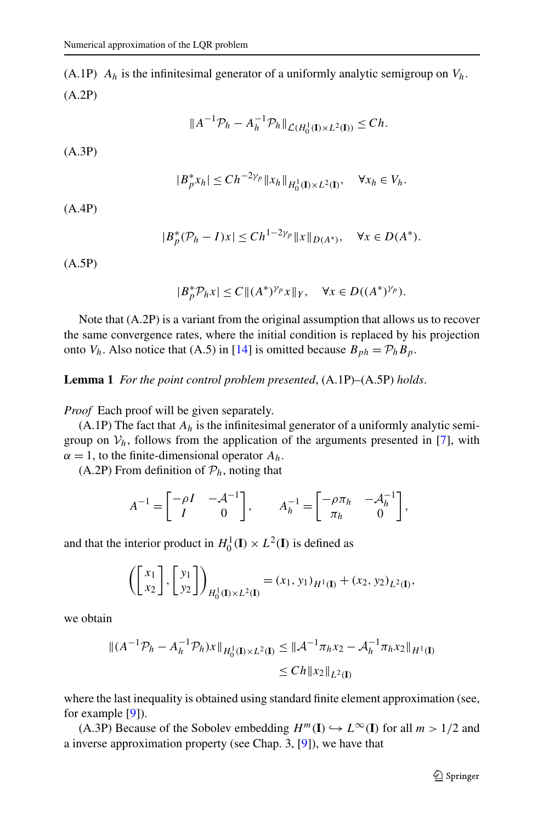<span id="page-6-0"></span>(A.1P)  $A_h$  is the infinitesimal generator of a uniformly analytic semigroup on  $V_h$ . (A.2P)

$$
||A^{-1}\mathcal{P}_h - A_h^{-1}\mathcal{P}_h||_{\mathcal{L}(H_0^1(\mathbf{I}) \times L^2(\mathbf{I}))} \le Ch.
$$

(A.3P)

$$
|B_p^* x_h| \le C h^{-2\gamma_p} \|x_h\|_{H_0^1(\mathbf{I}) \times L^2(\mathbf{I})}, \quad \forall x_h \in V_h.
$$

(A.4P)

$$
|B_p^*(P_h - I)x| \le C h^{1-2\gamma_p} ||x||_{D(A^*)}, \quad \forall x \in D(A^*).
$$

(A.5P)

$$
|B_p^* \mathcal{P}_h x| \le C \| (A^*)^{\gamma_p} x \|_Y, \quad \forall x \in D((A^*)^{\gamma_p}).
$$

Note that (A.2P) is a variant from the original assumption that allows us to recover the same convergence rates, where the initial condition is replaced by his projection onto  $V_h$ . Also notice that (A.5) in [[14\]](#page-17-0) is omitted because  $B_{ph} = \mathcal{P}_h B_p$ .

**Lemma 1** *For the point control problem presented*, (A.1P)–(A.5P) *holds*.

*Proof* Each proof will be given separately.

(A.1P) The fact that  $A_h$  is the infinitesimal generator of a uniformly analytic semigroup on  $V_h$ , follows from the application of the arguments presented in [[7\]](#page-16-0), with  $\alpha = 1$ , to the finite-dimensional operator  $A_h$ .

(A.2P) From definition of  $P_h$ , noting that

$$
A^{-1} = \begin{bmatrix} -\rho I & -\mathcal{A}^{-1} \\ I & 0 \end{bmatrix}, \qquad A_h^{-1} = \begin{bmatrix} -\rho \pi_h & -\mathcal{A}_h^{-1} \\ \pi_h & 0 \end{bmatrix},
$$

and that the interior product in  $H_0^1(\mathbf{I}) \times L^2(\mathbf{I})$  is defined as

$$
\left( \begin{bmatrix} x_1 \\ x_2 \end{bmatrix}, \begin{bmatrix} y_1 \\ y_2 \end{bmatrix} \right)_{H_0^1(\mathbf{I}) \times L^2(\mathbf{I})} = (x_1, y_1)_{H^1(\mathbf{I})} + (x_2, y_2)_{L^2(\mathbf{I})},
$$

we obtain

$$
\|(A^{-1}\mathcal{P}_h - A_h^{-1}\mathcal{P}_h)x\|_{H_0^1(\mathbf{I}) \times L^2(\mathbf{I})} \le \|\mathcal{A}^{-1}\pi_h x_2 - \mathcal{A}_h^{-1}\pi_h x_2\|_{H^1(\mathbf{I})}
$$
  
\n
$$
\le Ch \|x_2\|_{L^2(\mathbf{I})}
$$

where the last inequality is obtained using standard finite element approximation (see, for example [\[9](#page-17-0)]).

(A.3P) Because of the Sobolev embedding  $H^m(I) \hookrightarrow L^\infty(I)$  for all  $m > 1/2$  and a inverse approximation property (see Chap. 3, [\[9](#page-17-0)]), we have that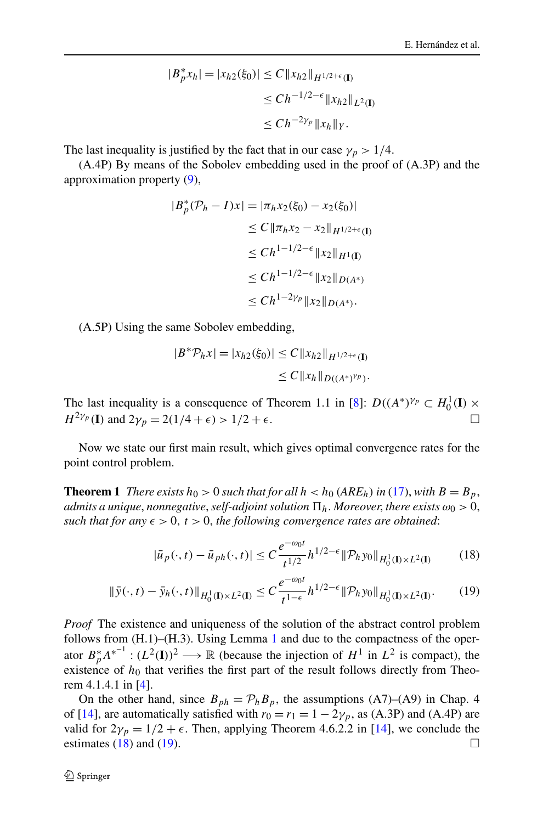$$
|B_p^* x_h| = |x_{h2}(\xi_0)| \le C \|x_{h2}\|_{H^{1/2+\epsilon}(\mathbf{I})}
$$
  
\n
$$
\le C h^{-1/2-\epsilon} \|x_{h2}\|_{L^2(\mathbf{I})}
$$
  
\n
$$
\le C h^{-2\gamma_p} \|x_h\|_Y.
$$

<span id="page-7-0"></span>The last inequality is justified by the fact that in our case  $\gamma_p > 1/4$ .

(A.4P) By means of the Sobolev embedding used in the proof of (A.3P) and the approximation property ([9\)](#page-4-0),

$$
|B_p^*(P_h - I)x| = |\pi_h x_2(\xi_0) - x_2(\xi_0)|
$$
  
\n
$$
\leq C \|\pi_h x_2 - x_2\|_{H^{1/2+\epsilon}(\mathbf{I})}
$$
  
\n
$$
\leq Ch^{1-1/2-\epsilon} \|x_2\|_{H^1(\mathbf{I})}
$$
  
\n
$$
\leq Ch^{1-1/2-\epsilon} \|x_2\|_{D(A^*)}
$$
  
\n
$$
\leq Ch^{1-2\gamma_p} \|x_2\|_{D(A^*)}.
$$

(A.5P) Using the same Sobolev embedding,

$$
|B^* \mathcal{P}_h x| = |x_{h2}(\xi_0)| \le C \|x_{h2}\|_{H^{1/2+\epsilon}(\mathbf{I})}
$$
  

$$
\le C \|x_h\|_{D((A^*)^{\gamma_p})}.
$$

The last inequality is a consequence of Theorem 1.1 in [[8\]](#page-16-0):  $D((A^*)^{\gamma_p} \subset H_0^1(I) \times$ *H*<sup>2*γp*</sup> (**I**) and 2*γ<sub>p</sub>* = 2*(*1/4 +  $\epsilon$ ) > 1/2 +  $\epsilon$ .

Now we state our first main result, which gives optimal convergence rates for the point control problem.

**Theorem 1** *There exists*  $h_0 > 0$  *such that for all*  $h < h_0$  (ARE<sub>h</sub>) in ([17\)](#page-5-0), with  $B = B_p$ , *admits a unique*, *nonnegative*,*self-adjoint solution <sup>h</sup>*. *Moreover*, *there exists ω*<sup>0</sup> *>* 0, *such that for any*  $\epsilon > 0$ ,  $t > 0$ , the following convergence rates are obtained:

$$
|\bar{u}_p(\cdot,t) - \bar{u}_{ph}(\cdot,t)| \le C \frac{e^{-\omega_0 t}}{t^{1/2}} h^{1/2 - \epsilon} \| \mathcal{P}_h y_0 \|_{H_0^1(\mathbf{I}) \times L^2(\mathbf{I})}
$$
(18)

$$
\|\bar{y}(\cdot,t) - \bar{y}_h(\cdot,t)\|_{H_0^1(\mathbf{I}) \times L^2(\mathbf{I})} \le C \frac{e^{-\omega_0 t}}{t^{1-\epsilon}} h^{1/2-\epsilon} \|\mathcal{P}_h y_0\|_{H_0^1(\mathbf{I}) \times L^2(\mathbf{I})}.\tag{19}
$$

*Proof* The existence and uniqueness of the solution of the abstract control problem follows from (H.[1](#page-6-0))–(H.3). Using Lemma 1 and due to the compactness of the operator  $B_p^*A^{*^{-1}}$ :  $(L^2(I))^2 \longrightarrow \mathbb{R}$  (because the injection of  $H^1$  in  $L^2$  is compact), the existence of  $h_0$  that verifies the first part of the result follows directly from Theorem 4.1.4.1 in [\[4](#page-16-0)].

On the other hand, since  $B_{ph} = \mathcal{P}_h B_p$ , the assumptions (A7)–(A9) in Chap. 4 of [\[14\]](#page-17-0), are automatically satisfied with  $r_0 = r_1 = 1 - 2\gamma_p$ , as (A.3P) and (A.4P) are valid for  $2\gamma_p = 1/2 + \epsilon$ . Then, applying Theorem 4.6.2.2 in [\[14](#page-17-0)], we conclude the estimates (18) and (19).  $\Box$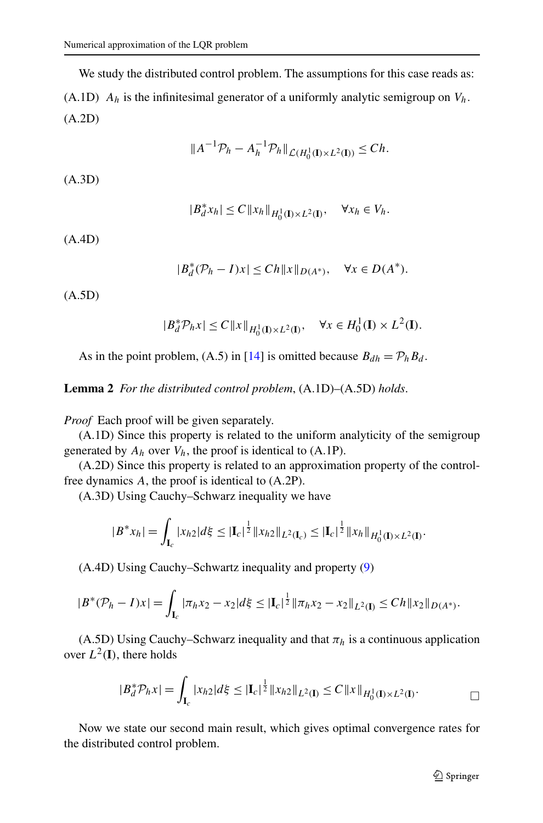We study the distributed control problem. The assumptions for this case reads as: (A.1D)  $A_h$  is the infinitesimal generator of a uniformly analytic semigroup on  $V_h$ . (A.2D)

$$
||A^{-1}\mathcal{P}_h - A_h^{-1}\mathcal{P}_h||_{\mathcal{L}(H_0^1(\mathbf{I}) \times L^2(\mathbf{I}))} \le Ch.
$$

(A.3D)

$$
|B_d^*x_h| \leq C \|x_h\|_{H_0^1(\mathbf{I}) \times L^2(\mathbf{I})}, \quad \forall x_h \in V_h.
$$

(A.4D)

$$
|B_d^*(\mathcal{P}_h - I)x| \le Ch ||x||_{D(A^*)}, \quad \forall x \in D(A^*).
$$

(A.5D)

$$
|B_d^* \mathcal{P}_h x| \le C \|x\|_{H_0^1(\mathbf{I}) \times L^2(\mathbf{I})}, \quad \forall x \in H_0^1(\mathbf{I}) \times L^2(\mathbf{I}).
$$

As in the point problem, (A.5) in [[14\]](#page-17-0) is omitted because  $B_{dh} = \mathcal{P}_h B_d$ .

**Lemma 2** *For the distributed control problem*, (A.1D)–(A.5D) *holds*.

*Proof* Each proof will be given separately.

(A.1D) Since this property is related to the uniform analyticity of the semigroup generated by  $A_h$  over  $V_h$ , the proof is identical to  $(A.1P)$ .

(A.2D) Since this property is related to an approximation property of the controlfree dynamics *A*, the proof is identical to (A.2P).

(A.3D) Using Cauchy–Schwarz inequality we have

$$
|B^*x_h| = \int_{\mathbf{I}_c} |x_{h2}|d\xi \leq |\mathbf{I}_c|^{\frac{1}{2}} \|x_{h2}\|_{L^2(\mathbf{I}_c)} \leq |\mathbf{I}_c|^{\frac{1}{2}} \|x_h\|_{H_0^1(\mathbf{I}) \times L^2(\mathbf{I})}.
$$

(A.4D) Using Cauchy–Schwartz inequality and property ([9\)](#page-4-0)

$$
|B^*(\mathcal{P}_h - I)x| = \int_{\mathbf{I}_c} |\pi_h x_2 - x_2| d\xi \leq |\mathbf{I}_c|^{\frac{1}{2}} \|\pi_h x_2 - x_2\|_{L^2(\mathbf{I})} \leq Ch \|x_2\|_{D(A^*)}.
$$

(A.5D) Using Cauchy–Schwarz inequality and that  $\pi_h$  is a continuous application over  $L^2(\mathbf{I})$ , there holds

$$
|B_d^* \mathcal{P}_h x| = \int_{\mathbf{I}_c} |x_{h2}| d\xi \leq |\mathbf{I}_c|^{\frac{1}{2}} \|x_{h2}\|_{L^2(\mathbf{I})} \leq C \|x\|_{H_0^1(\mathbf{I}) \times L^2(\mathbf{I})}.
$$

Now we state our second main result, which gives optimal convergence rates for the distributed control problem.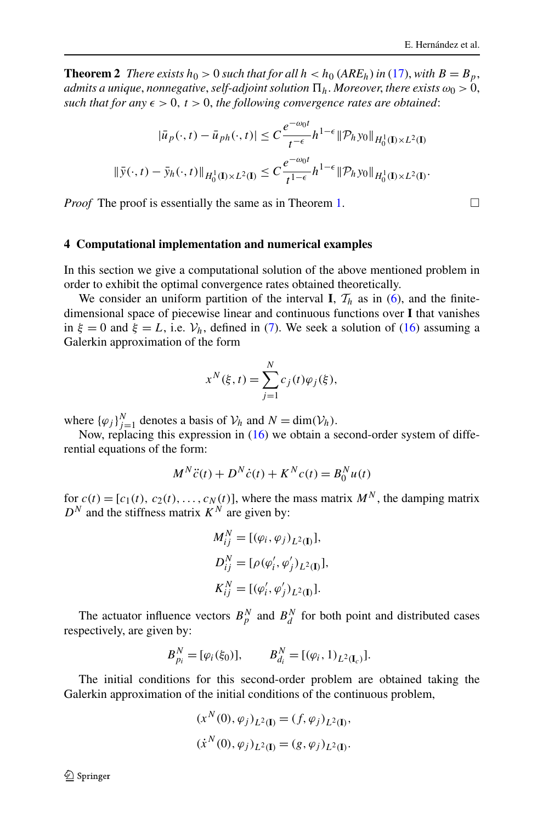<span id="page-9-0"></span>**Theorem 2** *There exists*  $h_0 > 0$  *such that for all*  $h < h_0$  (*ARE<sub>h</sub>*) *in* [\(17](#page-5-0)), *with*  $B = B_p$ , *admits a unique*, *nonnegative*,*self-adjoint solution <sup>h</sup>*. *Moreover*, *there exists ω*<sup>0</sup> *>* 0, *such that for any*  $\epsilon > 0$ ,  $t > 0$ , the following convergence rates are obtained:

$$
|\bar{u}_p(\cdot,t) - \bar{u}_{ph}(\cdot,t)| \leq C \frac{e^{-\omega_0 t}}{t^{-\epsilon}} h^{1-\epsilon} \|\mathcal{P}_h y_0\|_{H_0^1(\mathbb{I}) \times L^2(\mathbb{I})}
$$
  

$$
\|\bar{y}(\cdot,t) - \bar{y}_h(\cdot,t)\|_{H_0^1(\mathbb{I}) \times L^2(\mathbb{I})} \leq C \frac{e^{-\omega_0 t}}{t^{1-\epsilon}} h^{1-\epsilon} \|\mathcal{P}_h y_0\|_{H_0^1(\mathbb{I}) \times L^2(\mathbb{I})}.
$$

*Proof* The proof is essentially the same as in Theorem [1.](#page-7-0)  $\Box$ 

#### **4 Computational implementation and numerical examples**

In this section we give a computational solution of the above mentioned problem in order to exhibit the optimal convergence rates obtained theoretically.

We consider an uniform partition of the interval **I**,  $\mathcal{T}_h$  as in [\(6](#page-4-0)), and the finitedimensional space of piecewise linear and continuous functions over **I** that vanishes in  $\xi = 0$  and  $\xi = L$ , i.e.  $V_h$ , defined in [\(7](#page-4-0)). We seek a solution of ([16\)](#page-5-0) assuming a Galerkin approximation of the form

$$
x^{N}(\xi, t) = \sum_{j=1}^{N} c_{j}(t)\varphi_{j}(\xi),
$$

where  ${\{\varphi_j\}}_{j=1}^N$  denotes a basis of  $\mathcal{V}_h$  and  $N = \dim(\mathcal{V}_h)$ .

Now, replacing this expression in [\(16](#page-5-0)) we obtain a second-order system of differential equations of the form:

$$
M^{N}\ddot{c}(t) + D^{N}\dot{c}(t) + K^{N}c(t) = B_{0}^{N}u(t)
$$

for  $c(t) = [c_1(t), c_2(t),...,c_N(t)]$ , where the mass matrix  $M^N$ , the damping matrix  $D^N$  and the stiffness matrix  $K^N$  are given by:

$$
M_{ij}^N = [(\varphi_i, \varphi_j)_{L^2(\mathbf{I})}],
$$
  
\n
$$
D_{ij}^N = [\rho(\varphi_i', \varphi_j')_{L^2(\mathbf{I})}],
$$
  
\n
$$
K_{ij}^N = [(\varphi_i', \varphi_j')_{L^2(\mathbf{I})}].
$$

The actuator influence vectors  $B_p^N$  and  $B_d^N$  for both point and distributed cases respectively, are given by:

$$
B_{p_i}^N = [\varphi_i(\xi_0)], \qquad B_{d_i}^N = [(\varphi_i, 1)_{L^2(\mathbf{I}_c)}].
$$

The initial conditions for this second-order problem are obtained taking the Galerkin approximation of the initial conditions of the continuous problem,

$$
(x^N(0), \varphi_j)_{L^2(\mathbf{I})} = (f, \varphi_j)_{L^2(\mathbf{I})},
$$
  

$$
(\dot{x}^N(0), \varphi_j)_{L^2(\mathbf{I})} = (g, \varphi_j)_{L^2(\mathbf{I})}.
$$

 $\mathcal{D}$  Springer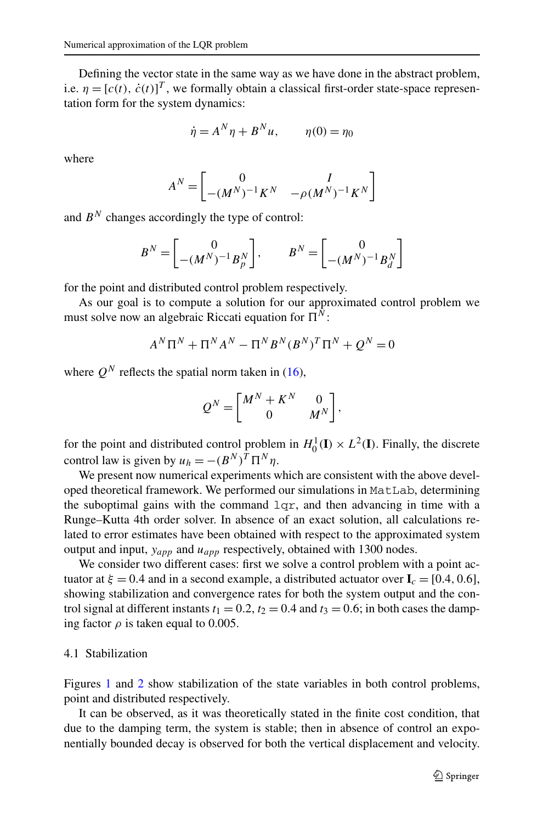Defining the vector state in the same way as we have done in the abstract problem, i.e.  $\eta = [c(t), \dot{c}(t)]^T$ , we formally obtain a classical first-order state-space representation form for the system dynamics:

$$
\dot{\eta} = A^N \eta + B^N u, \qquad \eta(0) = \eta_0
$$

where

$$
A^N = \begin{bmatrix} 0 & I \\ -(M^N)^{-1}K^N & -\rho (M^N)^{-1}K^N \end{bmatrix}
$$

and  $B^N$  changes accordingly the type of control:

$$
B^N = \begin{bmatrix} 0 \\ -(M^N)^{-1}B_p^N \end{bmatrix}, \qquad B^N = \begin{bmatrix} 0 \\ -(M^N)^{-1}B_d^N \end{bmatrix}
$$

for the point and distributed control problem respectively.

As our goal is to compute a solution for our approximated control problem we must solve now an algebraic Riccati equation for  $\Pi^N$ :

$$
A^{N} \Pi^{N} + \Pi^{N} A^{N} - \Pi^{N} B^{N} (B^{N})^{T} \Pi^{N} + Q^{N} = 0
$$

where  $Q^N$  reflects the spatial norm taken in [\(16](#page-5-0)),

$$
Q^N = \begin{bmatrix} M^N + K^N & 0 \\ 0 & M^N \end{bmatrix},
$$

for the point and distributed control problem in  $H_0^1(\mathbf{I}) \times L^2(\mathbf{I})$ . Finally, the discrete control law is given by  $u_h = -(B^N)^T \Pi^N \eta$ .

We present now numerical experiments which are consistent with the above developed theoretical framework. We performed our simulations in MatLab, determining the suboptimal gains with the command  $1qr$ , and then advancing in time with a Runge–Kutta 4th order solver. In absence of an exact solution, all calculations related to error estimates have been obtained with respect to the approximated system output and input, *yapp* and *uapp* respectively, obtained with 1300 nodes.

We consider two different cases: first we solve a control problem with a point actuator at  $\xi = 0.4$  and in a second example, a distributed actuator over  $I_c = [0.4, 0.6]$ , showing stabilization and convergence rates for both the system output and the control signal at different instants  $t_1 = 0.2$ ,  $t_2 = 0.4$  and  $t_3 = 0.6$ ; in both cases the damping factor  $\rho$  is taken equal to 0.005.

## 4.1 Stabilization

Figures [1](#page-11-0) and [2](#page-11-0) show stabilization of the state variables in both control problems, point and distributed respectively.

It can be observed, as it was theoretically stated in the finite cost condition, that due to the damping term, the system is stable; then in absence of control an exponentially bounded decay is observed for both the vertical displacement and velocity.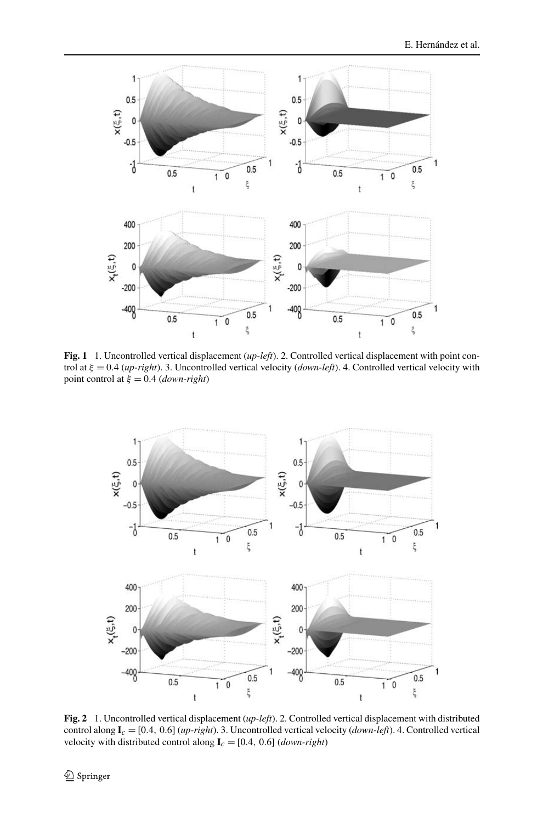<span id="page-11-0"></span>

**Fig. 1** 1. Uncontrolled vertical displacement (*up-left*). 2. Controlled vertical displacement with point control at *ξ* = 0*.*4 (*up-right*). 3. Uncontrolled vertical velocity (*down-left*). 4. Controlled vertical velocity with point control at  $\xi = 0.4$  (*down-right*)



**Fig. 2** 1. Uncontrolled vertical displacement (*up-left*). 2. Controlled vertical displacement with distributed control along  $I_c = [0.4, 0.6]$  (*up-right*). 3. Uncontrolled vertical velocity (*down-left*). 4. Controlled vertical velocity with distributed control along  $I_c = [0.4, 0.6]$  (*down-right*)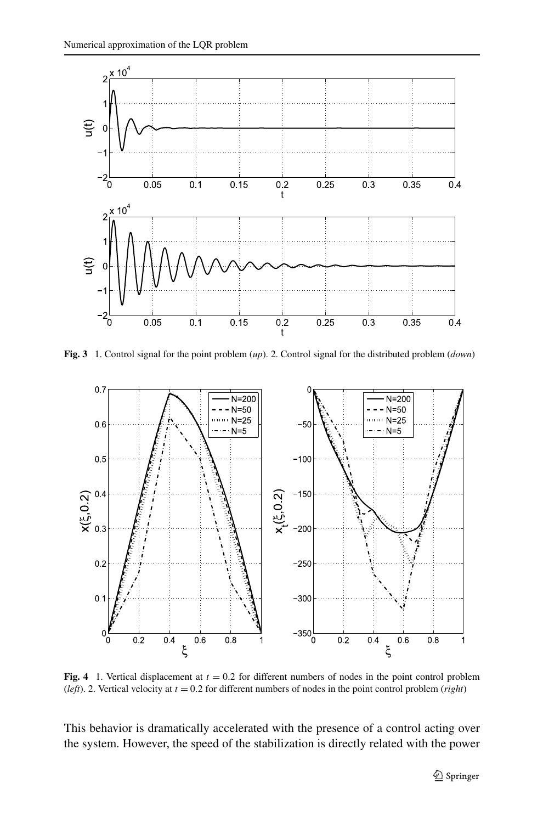<span id="page-12-0"></span>

**Fig. 3** 1. Control signal for the point problem (*up*). 2. Control signal for the distributed problem (*down*)



**Fig. 4** 1. Vertical displacement at  $t = 0.2$  for different numbers of nodes in the point control problem (*left*). 2. Vertical velocity at *t* = 0*.*2 for different numbers of nodes in the point control problem (*right*)

This behavior is dramatically accelerated with the presence of a control acting over the system. However, the speed of the stabilization is directly related with the power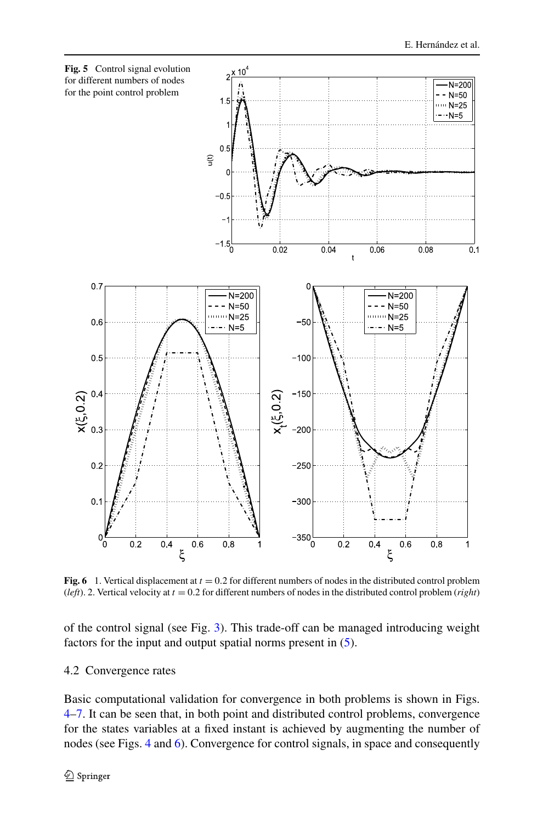<span id="page-13-0"></span>

**Fig. 6** 1. Vertical displacement at  $t = 0.2$  for different numbers of nodes in the distributed control problem (*left*). 2. Vertical velocity at *t* = 0*.*2 for different numbers of nodes in the distributed control problem (*right*)

of the control signal (see Fig. [3](#page-12-0)). This trade-off can be managed introducing weight factors for the input and output spatial norms present in ([5\)](#page-3-0).

## 4.2 Convergence rates

Basic computational validation for convergence in both problems is shown in Figs. [4–](#page-12-0)[7.](#page-14-0) It can be seen that, in both point and distributed control problems, convergence for the states variables at a fixed instant is achieved by augmenting the number of nodes (see Figs. [4](#page-12-0) and 6). Convergence for control signals, in space and consequently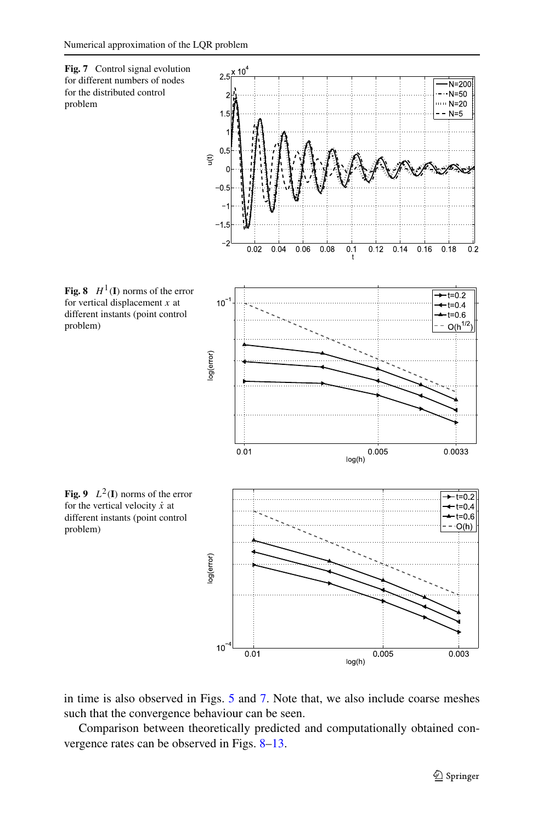<span id="page-14-0"></span>

in time is also observed in Figs. [5](#page-13-0) and 7. Note that, we also include coarse meshes such that the convergence behaviour can be seen.

Comparison between theoretically predicted and computationally obtained convergence rates can be observed in Figs. 8[–13](#page-16-0).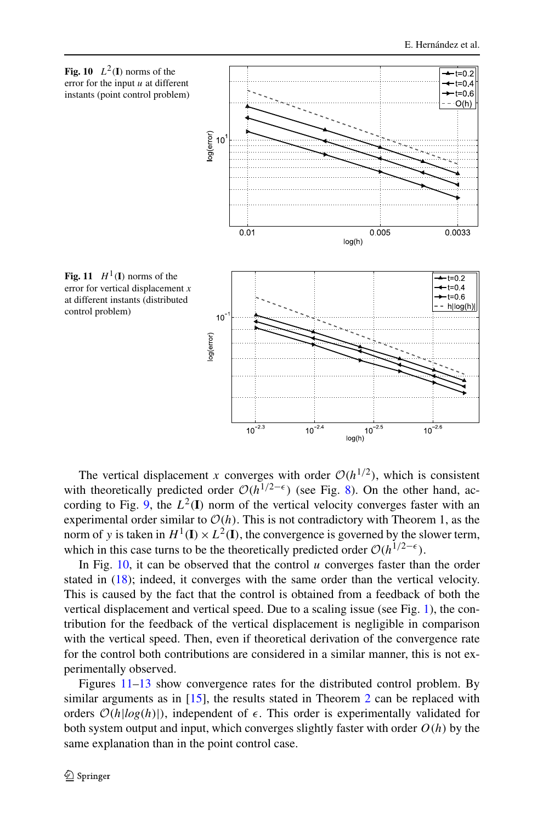

The vertical displacement *x* converges with order  $O(h^{1/2})$ , which is consistent with theoretically predicted order  $O(h^{1/2-\epsilon})$  (see Fig. [8](#page-14-0)). On the other hand, ac-cording to Fig. [9](#page-14-0), the  $L^2(I)$  norm of the vertical velocity converges faster with an experimental order similar to  $O(h)$ . This is not contradictory with Theorem 1, as the norm of *y* is taken in  $H^1(\mathbf{I}) \times L^2(\mathbf{I})$ , the convergence is governed by the slower term, which in this case turns to be the theoretically predicted order  $O(h^{1/2-\epsilon})$ .

In Fig. 10, it can be observed that the control *u* converges faster than the order stated in [\(18](#page-7-0)); indeed, it converges with the same order than the vertical velocity. This is caused by the fact that the control is obtained from a feedback of both the vertical displacement and vertical speed. Due to a scaling issue (see Fig. [1\)](#page-11-0), the contribution for the feedback of the vertical displacement is negligible in comparison with the vertical speed. Then, even if theoretical derivation of the convergence rate for the control both contributions are considered in a similar manner, this is not experimentally observed.

Figures 11[–13](#page-16-0) show convergence rates for the distributed control problem. By similar arguments as in [[15\]](#page-17-0), the results stated in Theorem [2](#page-9-0) can be replaced with orders  $O(h|log(h))$ , independent of  $\epsilon$ . This order is experimentally validated for both system output and input, which converges slightly faster with order  $O(h)$  by the same explanation than in the point control case.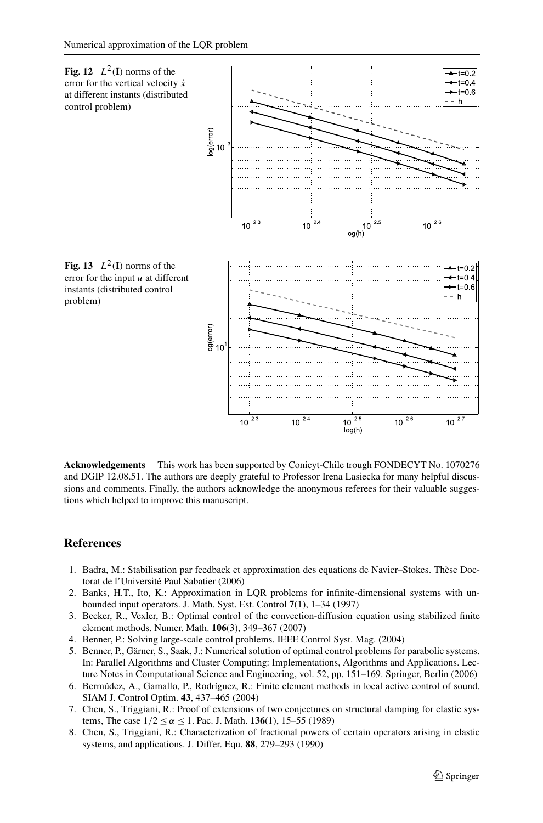<span id="page-16-0"></span>

**Acknowledgements** This work has been supported by Conicyt-Chile trough FONDECYT No. 1070276 and DGIP 12.08.51. The authors are deeply grateful to Professor Irena Lasiecka for many helpful discussions and comments. Finally, the authors acknowledge the anonymous referees for their valuable suggestions which helped to improve this manuscript.

## **References**

- 1. Badra, M.: Stabilisation par feedback et approximation des equations de Navier–Stokes. Thèse Doctorat de l'Université Paul Sabatier (2006)
- 2. Banks, H.T., Ito, K.: Approximation in LQR problems for infinite-dimensional systems with unbounded input operators. J. Math. Syst. Est. Control **7**(1), 1–34 (1997)
- 3. Becker, R., Vexler, B.: Optimal control of the convection-diffusion equation using stabilized finite element methods. Numer. Math. **106**(3), 349–367 (2007)
- 4. Benner, P.: Solving large-scale control problems. IEEE Control Syst. Mag. (2004)
- 5. Benner, P., Gärner, S., Saak, J.: Numerical solution of optimal control problems for parabolic systems. In: Parallel Algorithms and Cluster Computing: Implementations, Algorithms and Applications. Lecture Notes in Computational Science and Engineering, vol. 52, pp. 151–169. Springer, Berlin (2006)
- 6. Bermúdez, A., Gamallo, P., Rodríguez, R.: Finite element methods in local active control of sound. SIAM J. Control Optim. **43**, 437–465 (2004)
- 7. Chen, S., Triggiani, R.: Proof of extensions of two conjectures on structural damping for elastic systems, The case  $1/2 \le \alpha \le 1$ . Pac. J. Math. **136**(1), 15–55 (1989)
- 8. Chen, S., Triggiani, R.: Characterization of fractional powers of certain operators arising in elastic systems, and applications. J. Differ. Equ. **88**, 279–293 (1990)